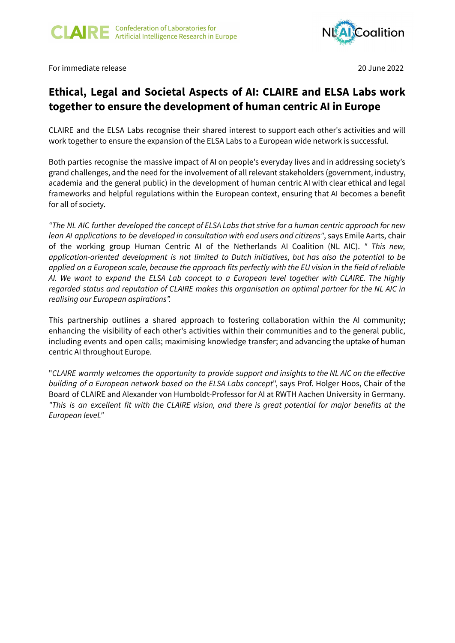

For immediate release 20 June 2022

## **Ethical, Legal and Societal Aspects of AI: CLAIRE and ELSA Labs work together to ensure the development of human centric AI in Europe**

CLAIRE and the ELSA Labs recognise their shared interest to support each other's activities and will work together to ensure the expansion of the ELSA Labs to a European wide network is successful.

Both parties recognise the massive impact of AI on people's everyday lives and in addressing society's grand challenges, and the need for the involvement of all relevant stakeholders (government, industry, academia and the general public) in the development of human centric AI with clear ethical and legal frameworks and helpful regulations within the European context, ensuring that AI becomes a benefit for all of society.

"The NL AIC further developed the concept of ELSA Labs that strive for a human centric approach for new *lean AI applications to be developed in consultation with end users and citizens"*, says Emile Aarts, chair of the working group Human Centric AI of the Netherlands AI Coalition (NL AIC). *" This new, application-oriented development is not limited to Dutch initiatives, but has also the potential to be* applied on a European scale, because the approach fits perfectly with the EU vision in the field of reliable *AI. We want to expand the ELSA Lab concept to a European level together with CLAIRE. The highly regarded status and reputation of CLAIRE makes this organisation an optimal partner for the NL AIC in realising our European aspirations".*

This partnership outlines a shared approach to fostering collaboration within the AI community; enhancing the visibility of each other's activities within their communities and to the general public, including events and open calls; maximising knowledge transfer; and advancing the uptake of human centric AI throughout Europe.

"*CLAIRE warmly welcomes the opportunity to provide support and insights to the NL AIC on the effective building of a European network based on the ELSA Labs concept*", says Prof. Holger Hoos, Chair of the Board of CLAIRE and Alexander von Humboldt-Professor for AI at RWTH Aachen University in Germany. "This is an excellent fit with the CLAIRE vision, and there is great potential for major benefits at the *European level."*